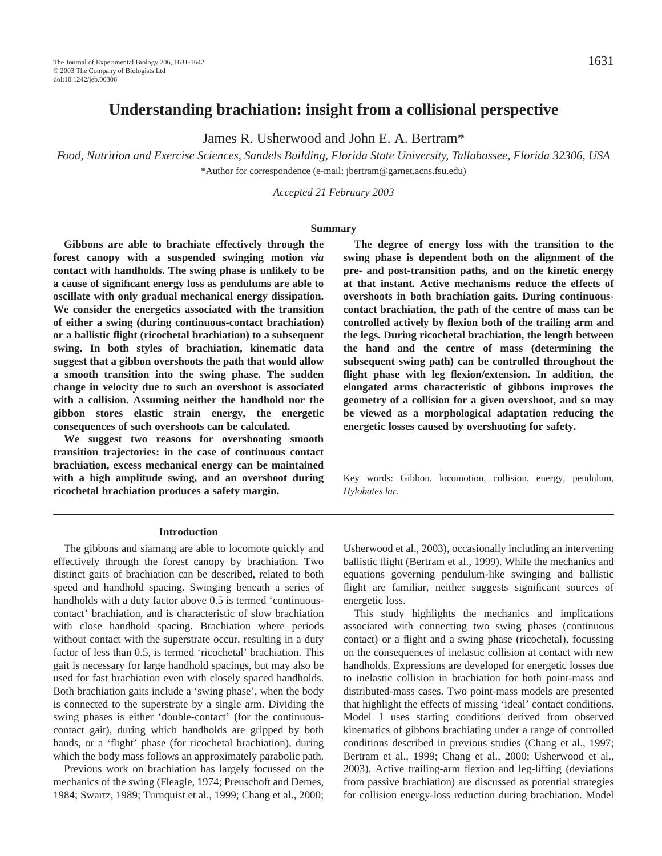James R. Usherwood and John E. A. Bertram\*

*Food, Nutrition and Exercise Sciences, Sandels Building, Florida State University, Tallahassee, Florida 32306, USA* \*Author for correspondence (e-mail: jbertram@garnet.acns.fsu.edu)

*Accepted 21 February 2003*

#### **Summary**

**Gibbons are able to brachiate effectively through the forest canopy with a suspended swinging motion** *via* **contact with handholds. The swing phase is unlikely to be a cause of significant energy loss as pendulums are able to oscillate with only gradual mechanical energy dissipation. We consider the energetics associated with the transition of either a swing (during continuous-contact brachiation) or a ballistic flight (ricochetal brachiation) to a subsequent swing. In both styles of brachiation, kinematic data suggest that a gibbon overshoots the path that would allow a smooth transition into the swing phase. The sudden change in velocity due to such an overshoot is associated with a collision. Assuming neither the handhold nor the gibbon stores elastic strain energy, the energetic consequences of such overshoots can be calculated.** 

**We suggest two reasons for overshooting smooth transition trajectories: in the case of continuous contact brachiation, excess mechanical energy can be maintained with a high amplitude swing, and an overshoot during ricochetal brachiation produces a safety margin.**

**The degree of energy loss with the transition to the swing phase is dependent both on the alignment of the pre- and post-transition paths, and on the kinetic energy at that instant. Active mechanisms reduce the effects of overshoots in both brachiation gaits. During continuouscontact brachiation, the path of the centre of mass can be controlled actively by flexion both of the trailing arm and the legs. During ricochetal brachiation, the length between the hand and the centre of mass (determining the subsequent swing path) can be controlled throughout the flight phase with leg flexion/extension. In addition, the elongated arms characteristic of gibbons improves the geometry of a collision for a given overshoot, and so may be viewed as a morphological adaptation reducing the energetic losses caused by overshooting for safety.**

Key words: Gibbon, locomotion, collision, energy, pendulum, *Hylobates lar*.

#### **Introduction**

The gibbons and siamang are able to locomote quickly and effectively through the forest canopy by brachiation. Two distinct gaits of brachiation can be described, related to both speed and handhold spacing. Swinging beneath a series of handholds with a duty factor above 0.5 is termed 'continuouscontact' brachiation, and is characteristic of slow brachiation with close handhold spacing. Brachiation where periods without contact with the superstrate occur, resulting in a duty factor of less than 0.5, is termed 'ricochetal' brachiation. This gait is necessary for large handhold spacings, but may also be used for fast brachiation even with closely spaced handholds. Both brachiation gaits include a 'swing phase', when the body is connected to the superstrate by a single arm. Dividing the swing phases is either 'double-contact' (for the continuouscontact gait), during which handholds are gripped by both hands, or a 'flight' phase (for ricochetal brachiation), during which the body mass follows an approximately parabolic path.

Previous work on brachiation has largely focussed on the mechanics of the swing (Fleagle, 1974; Preuschoft and Demes, 1984; Swartz, 1989; Turnquist et al., 1999; Chang et al., 2000; Usherwood et al., 2003), occasionally including an intervening ballistic flight (Bertram et al., 1999). While the mechanics and equations governing pendulum-like swinging and ballistic flight are familiar, neither suggests significant sources of energetic loss.

This study highlights the mechanics and implications associated with connecting two swing phases (continuous contact) or a flight and a swing phase (ricochetal), focussing on the consequences of inelastic collision at contact with new handholds. Expressions are developed for energetic losses due to inelastic collision in brachiation for both point-mass and distributed-mass cases. Two point-mass models are presented that highlight the effects of missing 'ideal' contact conditions. Model 1 uses starting conditions derived from observed kinematics of gibbons brachiating under a range of controlled conditions described in previous studies (Chang et al., 1997; Bertram et al., 1999; Chang et al., 2000; Usherwood et al., 2003). Active trailing-arm flexion and leg-lifting (deviations from passive brachiation) are discussed as potential strategies for collision energy-loss reduction during brachiation. Model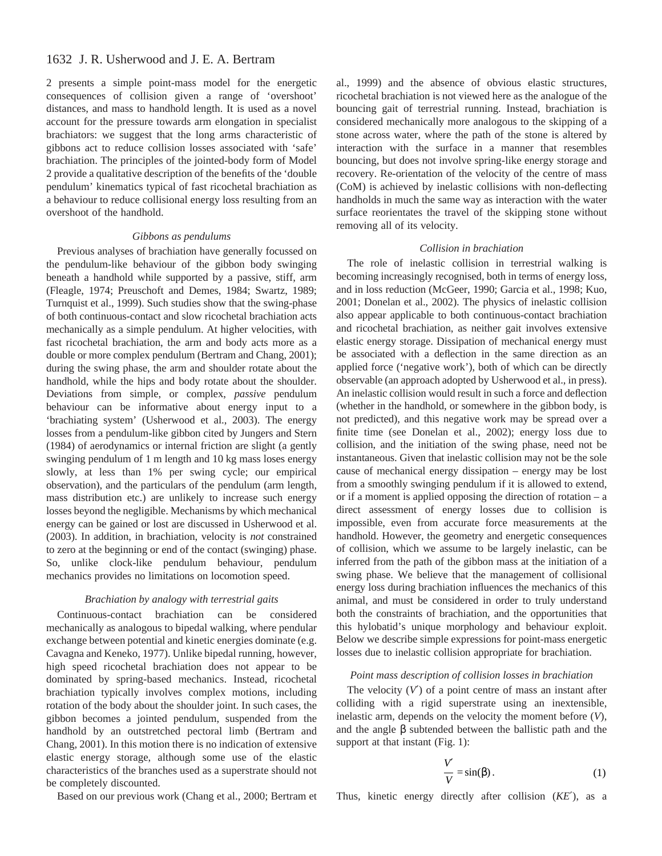2 presents a simple point-mass model for the energetic consequences of collision given a range of 'overshoot' distances, and mass to handhold length. It is used as a novel account for the pressure towards arm elongation in specialist brachiators: we suggest that the long arms characteristic of gibbons act to reduce collision losses associated with 'safe' brachiation. The principles of the jointed-body form of Model 2 provide a qualitative description of the benefits of the 'double pendulum' kinematics typical of fast ricochetal brachiation as a behaviour to reduce collisional energy loss resulting from an overshoot of the handhold.

### *Gibbons as pendulums*

Previous analyses of brachiation have generally focussed on the pendulum-like behaviour of the gibbon body swinging beneath a handhold while supported by a passive, stiff, arm (Fleagle, 1974; Preuschoft and Demes, 1984; Swartz, 1989; Turnquist et al., 1999). Such studies show that the swing-phase of both continuous-contact and slow ricochetal brachiation acts mechanically as a simple pendulum. At higher velocities, with fast ricochetal brachiation, the arm and body acts more as a double or more complex pendulum (Bertram and Chang, 2001); during the swing phase, the arm and shoulder rotate about the handhold, while the hips and body rotate about the shoulder. Deviations from simple, or complex, *passive* pendulum behaviour can be informative about energy input to a 'brachiating system' (Usherwood et al., 2003). The energy losses from a pendulum-like gibbon cited by Jungers and Stern (1984) of aerodynamics or internal friction are slight (a gently swinging pendulum of 1 m length and 10 kg mass loses energy slowly, at less than 1% per swing cycle; our empirical observation), and the particulars of the pendulum (arm length, mass distribution etc.) are unlikely to increase such energy losses beyond the negligible. Mechanisms by which mechanical energy can be gained or lost are discussed in Usherwood et al. (2003). In addition, in brachiation, velocity is *not* constrained to zero at the beginning or end of the contact (swinging) phase. So, unlike clock-like pendulum behaviour, pendulum mechanics provides no limitations on locomotion speed.

## *Brachiation by analogy with terrestrial gaits*

Continuous-contact brachiation can be considered mechanically as analogous to bipedal walking, where pendular exchange between potential and kinetic energies dominate (e.g. Cavagna and Keneko, 1977). Unlike bipedal running, however, high speed ricochetal brachiation does not appear to be dominated by spring-based mechanics. Instead, ricochetal brachiation typically involves complex motions, including rotation of the body about the shoulder joint. In such cases, the gibbon becomes a jointed pendulum, suspended from the handhold by an outstretched pectoral limb (Bertram and Chang, 2001). In this motion there is no indication of extensive elastic energy storage, although some use of the elastic characteristics of the branches used as a superstrate should not be completely discounted.

Based on our previous work (Chang et al., 2000; Bertram et

al., 1999) and the absence of obvious elastic structures, ricochetal brachiation is not viewed here as the analogue of the bouncing gait of terrestrial running. Instead, brachiation is considered mechanically more analogous to the skipping of a stone across water, where the path of the stone is altered by interaction with the surface in a manner that resembles bouncing, but does not involve spring-like energy storage and recovery. Re-orientation of the velocity of the centre of mass (CoM) is achieved by inelastic collisions with non-deflecting handholds in much the same way as interaction with the water surface reorientates the travel of the skipping stone without removing all of its velocity.

## *Collision in brachiation*

The role of inelastic collision in terrestrial walking is becoming increasingly recognised, both in terms of energy loss, and in loss reduction (McGeer, 1990; Garcia et al., 1998; Kuo, 2001; Donelan et al., 2002). The physics of inelastic collision also appear applicable to both continuous-contact brachiation and ricochetal brachiation, as neither gait involves extensive elastic energy storage. Dissipation of mechanical energy must be associated with a deflection in the same direction as an applied force ('negative work'), both of which can be directly observable (an approach adopted by Usherwood et al., in press). An inelastic collision would result in such a force and deflection (whether in the handhold, or somewhere in the gibbon body, is not predicted), and this negative work may be spread over a finite time (see Donelan et al., 2002); energy loss due to collision, and the initiation of the swing phase, need not be instantaneous. Given that inelastic collision may not be the sole cause of mechanical energy dissipation – energy may be lost from a smoothly swinging pendulum if it is allowed to extend, or if a moment is applied opposing the direction of rotation – a direct assessment of energy losses due to collision is impossible, even from accurate force measurements at the handhold. However, the geometry and energetic consequences of collision, which we assume to be largely inelastic, can be inferred from the path of the gibbon mass at the initiation of a swing phase. We believe that the management of collisional energy loss during brachiation influences the mechanics of this animal, and must be considered in order to truly understand both the constraints of brachiation, and the opportunities that this hylobatid's unique morphology and behaviour exploit. Below we describe simple expressions for point-mass energetic losses due to inelastic collision appropriate for brachiation.

#### *Point mass description of collision losses in brachiation*

The velocity  $(V')$  of a point centre of mass an instant after colliding with a rigid superstrate using an inextensible, inelastic arm, depends on the velocity the moment before (*V*), and the angle β subtended between the ballistic path and the support at that instant  $(Fig. 1)$ :

$$
\frac{V'}{V} = \sin(\beta). \tag{1}
$$

Thus, kinetic energy directly after collision (*KE*′), as a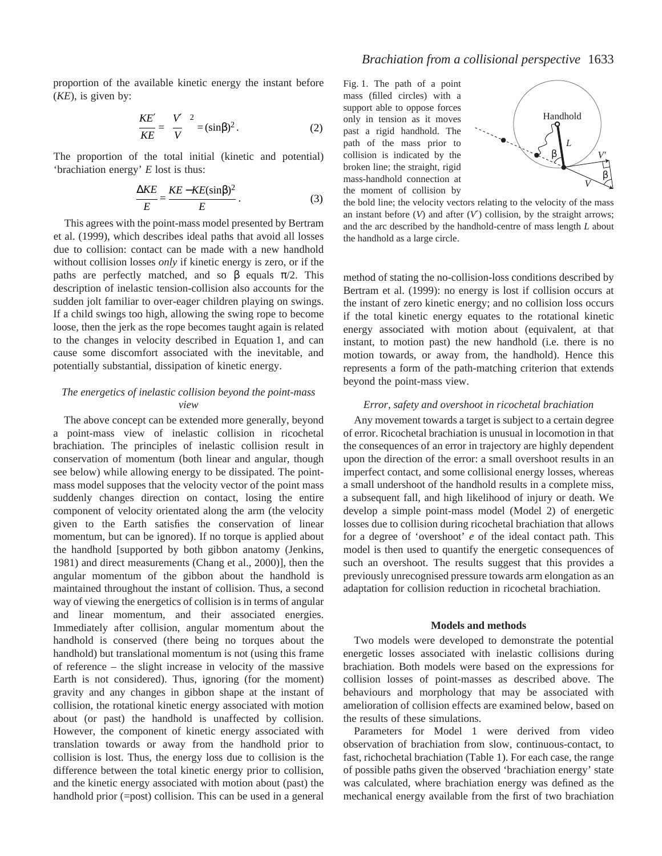proportion of the available kinetic energy the instant before (*KE*), is given by:

$$
\frac{KE'}{KE} = \left(\frac{V'}{V}\right)^2 = (\sin\beta)^2.
$$
 (2)

The proportion of the total initial (kinetic and potential) 'brachiation energy' *E* lost is thus:

$$
\frac{\Delta KE}{E} = \frac{KE - KE(\sin\beta)^2}{E} \,. \tag{3}
$$

This agrees with the point-mass model presented by Bertram et al. (1999), which describes ideal paths that avoid all losses due to collision: contact can be made with a new handhold without collision losses *only* if kinetic energy is zero, or if the paths are perfectly matched, and so β equals  $π/2$ . This description of inelastic tension-collision also accounts for the sudden jolt familiar to over-eager children playing on swings. If a child swings too high, allowing the swing rope to become loose, then the jerk as the rope becomes taught again is related to the changes in velocity described in Equation 1, and can cause some discomfort associated with the inevitable, and potentially substantial, dissipation of kinetic energy.

## *The energetics of inelastic collision beyond the point-mass view*

The above concept can be extended more generally, beyond a point-mass view of inelastic collision in ricochetal brachiation. The principles of inelastic collision result in conservation of momentum (both linear and angular, though see below) while allowing energy to be dissipated. The pointmass model supposes that the velocity vector of the point mass suddenly changes direction on contact, losing the entire component of velocity orientated along the arm (the velocity given to the Earth satisfies the conservation of linear momentum, but can be ignored). If no torque is applied about the handhold [supported by both gibbon anatomy (Jenkins, 1981) and direct measurements (Chang et al., 2000)], then the angular momentum of the gibbon about the handhold is maintained throughout the instant of collision. Thus, a second way of viewing the energetics of collision is in terms of angular and linear momentum, and their associated energies. Immediately after collision, angular momentum about the handhold is conserved (there being no torques about the handhold) but translational momentum is not (using this frame of reference – the slight increase in velocity of the massive Earth is not considered). Thus, ignoring (for the moment) gravity and any changes in gibbon shape at the instant of collision, the rotational kinetic energy associated with motion about (or past) the handhold is unaffected by collision. However, the component of kinetic energy associated with translation towards or away from the handhold prior to collision is lost. Thus, the energy loss due to collision is the difference between the total kinetic energy prior to collision, and the kinetic energy associated with motion about (past) the handhold prior (=post) collision. This can be used in a general

Fig. 1. The path of a point mass (filled circles) with a support able to oppose forces only in tension as it moves past a rigid handhold. The path of the mass prior to collision is indicated by the broken line; the straight, rigid mass-handhold connection at the moment of collision by



the bold line; the velocity vectors relating to the velocity of the mass an instant before  $(V)$  and after  $(V')$  collision, by the straight arrows; and the arc described by the handhold-centre of mass length *L* about the handhold as a large circle.

method of stating the no-collision-loss conditions described by Bertram et al. (1999): no energy is lost if collision occurs at the instant of zero kinetic energy; and no collision loss occurs if the total kinetic energy equates to the rotational kinetic energy associated with motion about (equivalent, at that instant, to motion past) the new handhold (i.e. there is no motion towards, or away from, the handhold). Hence this represents a form of the path-matching criterion that extends beyond the point-mass view.

### *Error, safety and overshoot in ricochetal brachiation*

Any movement towards a target is subject to a certain degree of error. Ricochetal brachiation is unusual in locomotion in that the consequences of an error in trajectory are highly dependent upon the direction of the error: a small overshoot results in an imperfect contact, and some collisional energy losses, whereas a small undershoot of the handhold results in a complete miss, a subsequent fall, and high likelihood of injury or death. We develop a simple point-mass model (Model 2) of energetic losses due to collision during ricochetal brachiation that allows for a degree of 'overshoot' *e* of the ideal contact path. This model is then used to quantify the energetic consequences of such an overshoot. The results suggest that this provides a previously unrecognised pressure towards arm elongation as an adaptation for collision reduction in ricochetal brachiation.

#### **Models and methods**

Two models were developed to demonstrate the potential energetic losses associated with inelastic collisions during brachiation. Both models were based on the expressions for collision losses of point-masses as described above. The behaviours and morphology that may be associated with amelioration of collision effects are examined below, based on the results of these simulations.

Parameters for Model 1 were derived from video observation of brachiation from slow, continuous-contact, to fast, richochetal brachiation (Table 1). For each case, the range of possible paths given the observed 'brachiation energy' state was calculated, where brachiation energy was defined as the mechanical energy available from the first of two brachiation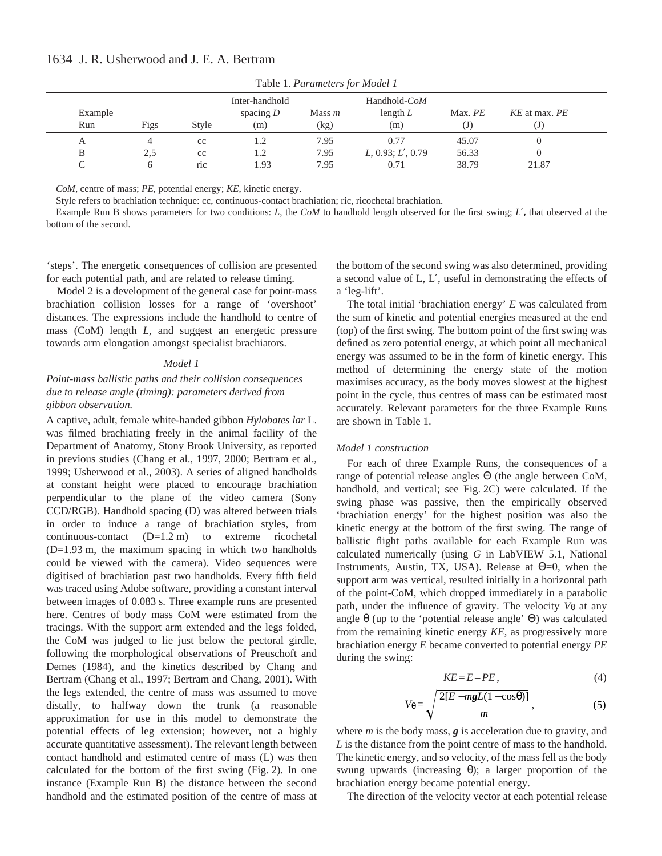| Example<br>Run | Figs | <b>Style</b>     | Inter-handhold<br>spacing $D$<br>(m) | Mass $m$<br>(kg) | Handhold-CoM<br>length $L$<br>(m) | Max. $PE$<br>(J) | KE at max. PE<br>U) |  |
|----------------|------|------------------|--------------------------------------|------------------|-----------------------------------|------------------|---------------------|--|
| А              | 4    | cc               |                                      | 7.95             | 0.77                              | 45.07            |                     |  |
| B              | 2,5  | cc               |                                      | 7.95             | L, 0.93; L', 0.79                 | 56.33            |                     |  |
|                |      | r <sub>1</sub> c | .93                                  | 7.95             | 0.71                              | 38.79            | 21.87               |  |

Table 1. Parameters for Model 1

*CoM*, centre of mass; *PE*, potential energy; *KE*, kinetic energy.

Style refers to brachiation technique: cc, continuous-contact brachiation; ric, ricochetal brachiation.

Example Run B shows parameters for two conditions: *L*, the *CoM* to handhold length observed for the first swing; *L*′, that observed at the bottom of the second.

'steps'. The energetic consequences of collision are presented for each potential path, and are related to release timing.

Model 2 is a development of the general case for point-mass brachiation collision losses for a range of 'overshoot' distances. The expressions include the handhold to centre of mass (CoM) length *L*, and suggest an energetic pressure towards arm elongation amongst specialist brachiators.

## *Model 1*

## *Point-mass ballistic paths and their collision consequences due to release angle (timing): parameters derived from gibbon observation.*

A captive, adult, female white-handed gibbon *Hylobates lar* L. was filmed brachiating freely in the animal facility of the Department of Anatomy, Stony Brook University, as reported in previous studies (Chang et al., 1997, 2000; Bertram et al., 1999; Usherwood et al., 2003). A series of aligned handholds at constant height were placed to encourage brachiation perpendicular to the plane of the video camera (Sony CCD/RGB). Handhold spacing (D) was altered between trials in order to induce a range of brachiation styles, from continuous-contact  $(D=1.2 m)$  to extreme ricochetal  $(D=1.93 \text{ m}$ , the maximum spacing in which two handholds could be viewed with the camera). Video sequences were digitised of brachiation past two handholds. Every fifth field was traced using Adobe software, providing a constant interval between images of 0.083 s. Three example runs are presented here. Centres of body mass CoM were estimated from the tracings. With the support arm extended and the legs folded, the CoM was judged to lie just below the pectoral girdle, following the morphological observations of Preuschoft and Demes (1984), and the kinetics described by Chang and Bertram (Chang et al., 1997; Bertram and Chang, 2001). With the legs extended, the centre of mass was assumed to move distally, to halfway down the trunk (a reasonable approximation for use in this model to demonstrate the potential effects of leg extension; however, not a highly accurate quantitative assessment). The relevant length between contact handhold and estimated centre of mass (L) was then calculated for the bottom of the first swing (Fig. 2). In one instance (Example Run B) the distance between the second handhold and the estimated position of the centre of mass at the bottom of the second swing was also determined, providing a second value of L, L′, useful in demonstrating the effects of a 'leg-lift'.

The total initial 'brachiation energy' *E* was calculated from the sum of kinetic and potential energies measured at the end (top) of the first swing. The bottom point of the first swing was defined as zero potential energy, at which point all mechanical energy was assumed to be in the form of kinetic energy. This method of determining the energy state of the motion maximises accuracy, as the body moves slowest at the highest point in the cycle, thus centres of mass can be estimated most accurately. Relevant parameters for the three Example Runs are shown in Table 1.

## *Model 1 construction*

For each of three Example Runs, the consequences of a range of potential release angles Θ (the angle between CoM, handhold, and vertical; see Fig. 2C) were calculated. If the swing phase was passive, then the empirically observed 'brachiation energy' for the highest position was also the kinetic energy at the bottom of the first swing. The range of ballistic flight paths available for each Example Run was calculated numerically (using *G* in LabVIEW 5.1, National Instruments, Austin, TX, USA). Release at  $\Theta = 0$ , when the support arm was vertical, resulted initially in a horizontal path of the point-CoM, which dropped immediately in a parabolic path, under the influence of gravity. The velocity  $V_{\theta}$  at any angle θ (up to the 'potential release angle' Θ) was calculated from the remaining kinetic energy *KE*, as progressively more brachiation energy *E* became converted to potential energy *PE* during the swing:

$$
KE = E - PE, \tag{4}
$$

$$
V_{\theta} = \sqrt{\frac{2[E - mgL(1 - \cos\theta)]}{m}},
$$
\n(5)

where  $m$  is the body mass,  $g$  is acceleration due to gravity, and *L* is the distance from the point centre of mass to the handhold. The kinetic energy, and so velocity, of the mass fell as the body swung upwards (increasing θ); a larger proportion of the brachiation energy became potential energy.

The direction of the velocity vector at each potential release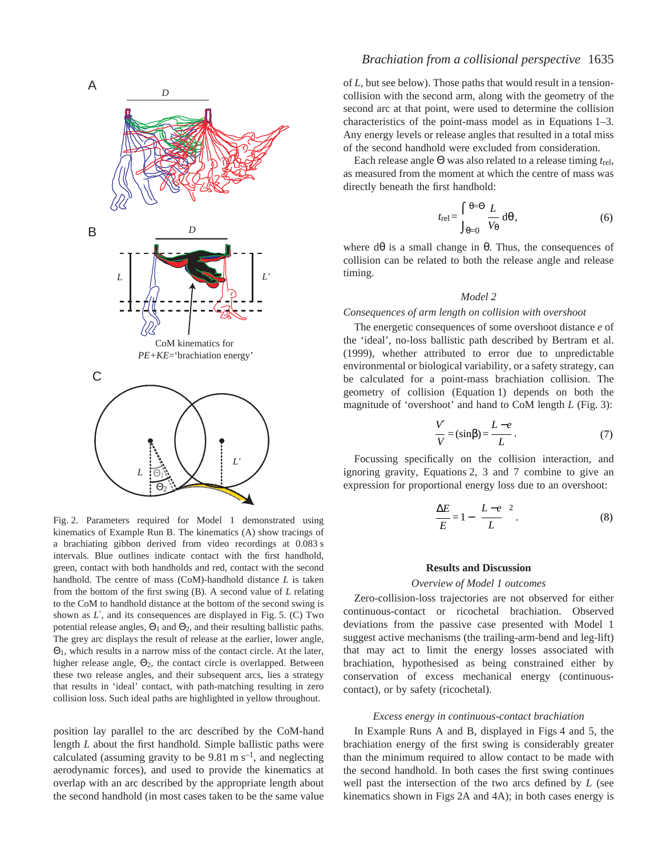

Fig. 2. Parameters required for Model 1 demonstrated using kinematics of Example Run B. The kinematics (A) show tracings of a brachiating gibbon derived from video recordings at 0.083 s intervals. Blue outlines indicate contact with the first handhold, green, contact with both handholds and red, contact with the second handhold. The centre of mass (CoM)-handhold distance *L* is taken from the bottom of the first swing (B). A second value of *L* relating to the CoM to handhold distance at the bottom of the second swing is shown as  $L'$ , and its consequences are displayed in Fig. 5. (C) Two potential release angles,  $\Theta_1$  and  $\Theta_2$ , and their resulting ballistic paths. The grey arc displays the result of release at the earlier, lower angle,  $\Theta_1$ , which results in a narrow miss of the contact circle. At the later, higher release angle,  $\Theta_2$ , the contact circle is overlapped. Between these two release angles, and their subsequent arcs, lies a strategy that results in 'ideal' contact, with path-matching resulting in zero collision loss. Such ideal paths are highlighted in yellow throughout.

position lay parallel to the arc described by the CoM*-*hand length *L* about the first handhold. Simple ballistic paths were calculated (assuming gravity to be  $9.81 \text{ m s}^{-1}$ , and neglecting aerodynamic forces), and used to provide the kinematics at overlap with an arc described by the appropriate length about the second handhold (in most cases taken to be the same value

## *Brachiation from a collisional perspective* 1635

of *L*, but see below). Those paths that would result in a tensioncollision with the second arm, along with the geometry of the second arc at that point, were used to determine the collision characteristics of the point-mass model as in Equations  $1-3$ . Any energy levels or release angles that resulted in a total miss of the second handhold were excluded from consideration.

Each release angle Θ was also related to a release timing *t*rel, as measured from the moment at which the centre of mass was directly beneath the first handhold:

$$
t_{\rm rel} = \int_{\theta=0}^{\theta=0} \frac{L}{V_{\theta}} \, d\theta, \qquad (6)
$$

where  $dθ$  is a small change in  $θ$ . Thus, the consequences of collision can be related to both the release angle and release timing.

## *Model 2*

## *Consequences of arm length on collision with overshoot*

The energetic consequences of some overshoot distance *e* of the 'ideal', no-loss ballistic path described by Bertram et al. (1999), whether attributed to error due to unpredictable environmental or biological variability, or a safety strategy, can be calculated for a point-mass brachiation collision. The geometry of collision (Equation 1) depends on both the magnitude of 'overshoot' and hand to CoM length *L* (Fig. 3):

$$
\frac{V'}{V} = (\sin \beta) = \frac{L - e}{L}.
$$
\n(7)

Focussing specifically on the collision interaction, and ignoring gravity, Equations 2, 3 and 7 combine to give an expression for proportional energy loss due to an overshoot:

$$
\frac{\Delta E}{E} = 1 - \left(\frac{L - e}{L}\right)^2.
$$
 (8)

#### **Results and Discussion**

#### *Overview of Model 1 outcomes*

Zero-collision-loss trajectories are not observed for either continuous-contact or ricochetal brachiation. Observed deviations from the passive case presented with Model 1 suggest active mechanisms (the trailing-arm-bend and leg-lift) that may act to limit the energy losses associated with brachiation, hypothesised as being constrained either by conservation of excess mechanical energy (continuouscontact), or by safety (ricochetal).

## *Excess energy in continuous-contact brachiation*

In Example Runs A and B, displayed in Figs 4 and 5, the brachiation energy of the first swing is considerably greater than the minimum required to allow contact to be made with the second handhold. In both cases the first swing continues well past the intersection of the two arcs defined by *L* (see kinematics shown in Figs 2A and 4A); in both cases energy is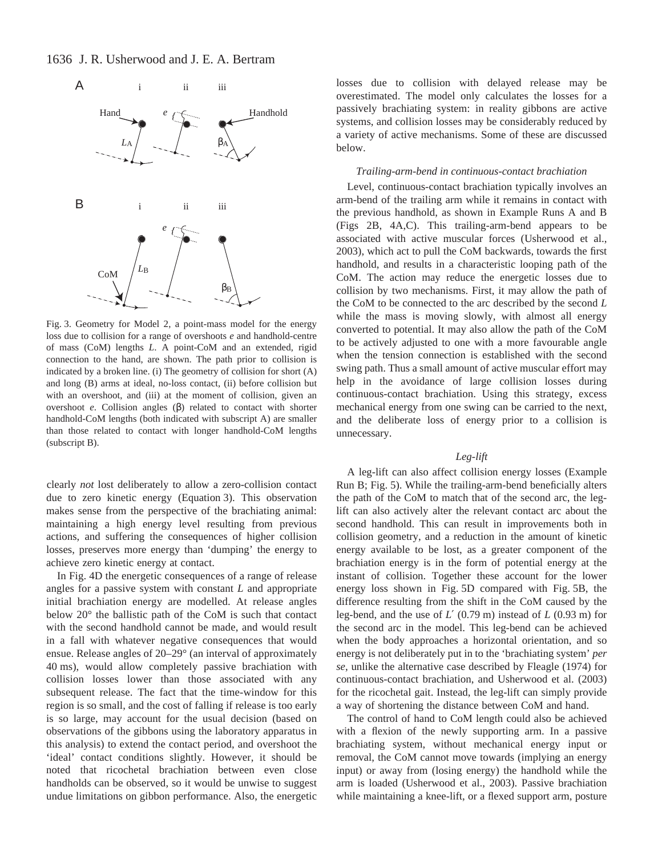

Fig. 3. Geometry for Model 2, a point-mass model for the energy loss due to collision for a range of overshoots *e* and handhold-centre of mass (CoM) lengths *L*. A point-CoM and an extended, rigid connection to the hand, are shown. The path prior to collision is indicated by a broken line. (i) The geometry of collision for short (A) and long (B) arms at ideal, no-loss contact, (ii) before collision but with an overshoot, and (iii) at the moment of collision, given an overshoot *e*. Collision angles (β) related to contact with shorter handhold-CoM lengths (both indicated with subscript A) are smaller than those related to contact with longer handhold-CoM lengths (subscript B).

clearly *not* lost deliberately to allow a zero-collision contact due to zero kinetic energy (Equation 3). This observation makes sense from the perspective of the brachiating animal: maintaining a high energy level resulting from previous actions, and suffering the consequences of higher collision losses, preserves more energy than 'dumping' the energy to achieve zero kinetic energy at contact.

In Fig. 4D the energetic consequences of a range of release angles for a passive system with constant *L* and appropriate initial brachiation energy are modelled. At release angles below 20° the ballistic path of the CoM is such that contact with the second handhold cannot be made, and would result in a fall with whatever negative consequences that would ensue. Release angles of 20–29° (an interval of approximately 40 ms), would allow completely passive brachiation with collision losses lower than those associated with any subsequent release. The fact that the time-window for this region is so small, and the cost of falling if release is too early is so large, may account for the usual decision (based on observations of the gibbons using the laboratory apparatus in this analysis) to extend the contact period, and overshoot the 'ideal' contact conditions slightly. However, it should be noted that ricochetal brachiation between even close handholds can be observed, so it would be unwise to suggest undue limitations on gibbon performance. Also, the energetic losses due to collision with delayed release may be overestimated. The model only calculates the losses for a passively brachiating system: in reality gibbons are active systems, and collision losses may be considerably reduced by a variety of active mechanisms. Some of these are discussed below.

## *Trailing-arm-bend in continuous-contact brachiation*

Level, continuous-contact brachiation typically involves an arm-bend of the trailing arm while it remains in contact with the previous handhold, as shown in Example Runs A and B (Figs 2B, 4A,C). This trailing-arm-bend appears to be associated with active muscular forces (Usherwood et al., 2003), which act to pull the CoM backwards, towards the first handhold, and results in a characteristic looping path of the CoM. The action may reduce the energetic losses due to collision by two mechanisms. First, it may allow the path of the CoM to be connected to the arc described by the second *L* while the mass is moving slowly, with almost all energy converted to potential. It may also allow the path of the CoM to be actively adjusted to one with a more favourable angle when the tension connection is established with the second swing path. Thus a small amount of active muscular effort may help in the avoidance of large collision losses during continuous-contact brachiation. Using this strategy, excess mechanical energy from one swing can be carried to the next, and the deliberate loss of energy prior to a collision is unnecessary.

#### *Leg-lift*

A leg-lift can also affect collision energy losses (Example Run B; Fig. 5). While the trailing-arm-bend beneficially alters the path of the CoM to match that of the second arc, the leglift can also actively alter the relevant contact arc about the second handhold. This can result in improvements both in collision geometry, and a reduction in the amount of kinetic energy available to be lost, as a greater component of the brachiation energy is in the form of potential energy at the instant of collision. Together these account for the lower energy loss shown in Fig. 5D compared with Fig. 5B, the difference resulting from the shift in the CoM caused by the leg-bend, and the use of  $L'$  (0.79 m) instead of  $L$  (0.93 m) for the second arc in the model. This leg-bend can be achieved when the body approaches a horizontal orientation, and so energy is not deliberately put in to the 'brachiating system' *per se*, unlike the alternative case described by Fleagle (1974) for continuous-contact brachiation, and Usherwood et al. (2003) for the ricochetal gait. Instead, the leg-lift can simply provide a way of shortening the distance between CoM and hand.

The control of hand to CoM length could also be achieved with a flexion of the newly supporting arm. In a passive brachiating system, without mechanical energy input or removal, the CoM cannot move towards (implying an energy input) or away from (losing energy) the handhold while the arm is loaded (Usherwood et al., 2003). Passive brachiation while maintaining a knee-lift, or a flexed support arm, posture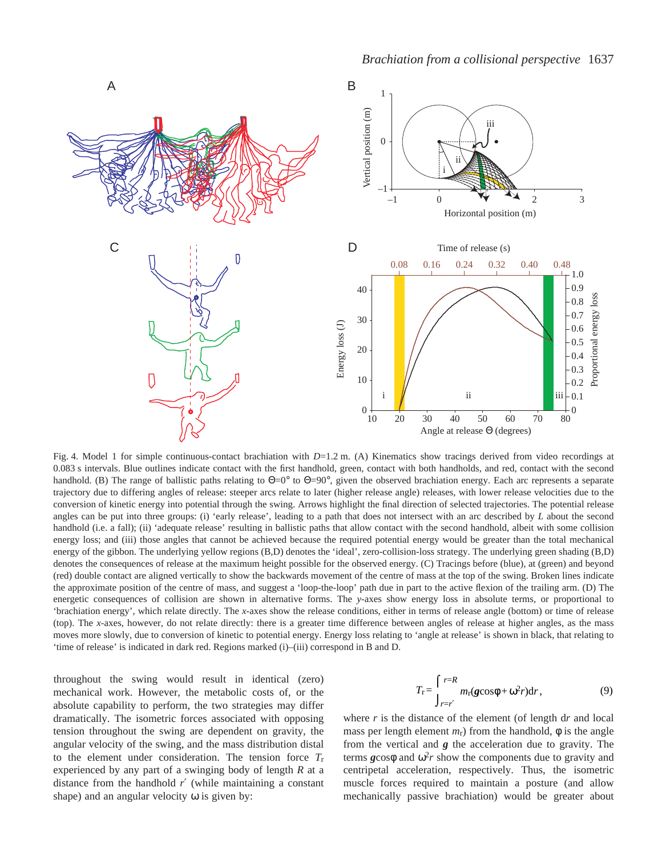

Fig. 4. Model 1 for simple continuous-contact brachiation with *D*=1.2 m. (A) Kinematics show tracings derived from video recordings at 0.083 s intervals. Blue outlines indicate contact with the first handhold, green, contact with both handholds, and red, contact with the second handhold. (B) The range of ballistic paths relating to Θ=0° to Θ=90°, given the observed brachiation energy. Each arc represents a separate trajectory due to differing angles of release: steeper arcs relate to later (higher release angle) releases, with lower release velocities due to the conversion of kinetic energy into potential through the swing. Arrows highlight the final direction of selected trajectories. The potential release angles can be put into three groups: (i) 'early release', leading to a path that does not intersect with an arc described by *L* about the second handhold (i.e. a fall); (ii) 'adequate release' resulting in ballistic paths that allow contact with the second handhold, albeit with some collision energy loss; and (iii) those angles that cannot be achieved because the required potential energy would be greater than the total mechanical energy of the gibbon. The underlying yellow regions (B,D) denotes the 'ideal', zero-collision-loss strategy. The underlying green shading (B,D) denotes the consequences of release at the maximum height possible for the observed energy. (C) Tracings before (blue), at (green) and beyond (red) double contact are aligned vertically to show the backwards movement of the centre of mass at the top of the swing. Broken lines indicate the approximate position of the centre of mass, and suggest a 'loop-the-loop' path due in part to the active flexion of the trailing arm. (D) The energetic consequences of collision are shown in alternative forms. The *y*-axes show energy loss in absolute terms, or proportional to 'brachiation energy', which relate directly. The *x*-axes show the release conditions, either in terms of release angle (bottom) or time of release (top). The *x*-axes, however, do not relate directly: there is a greater time difference between angles of release at higher angles, as the mass moves more slowly, due to conversion of kinetic to potential energy. Energy loss relating to 'angle at release' is shown in black, that relating to 'time of release' is indicated in dark red. Regions marked (i)–(iii) correspond in B and D.

throughout the swing would result in identical (zero) mechanical work. However, the metabolic costs of, or the absolute capability to perform, the two strategies may differ dramatically. The isometric forces associated with opposing tension throughout the swing are dependent on gravity, the angular velocity of the swing, and the mass distribution distal to the element under consideration. The tension force *T*r experienced by any part of a swinging body of length *R* at a distance from the handhold *r*′ (while maintaining a constant shape) and an angular velocity ω is given by:

$$
T_{\rm r} = \int_{r=r'}^{r=R} m_{\rm r} (g \cos \phi + \omega^2 r) \mathrm{d}r, \qquad (9)
$$

where *r* is the distance of the element (of length d*r* and local mass per length element  $m<sub>r</sub>$ ) from the handhold,  $\phi$  is the angle from the vertical and *g* the acceleration due to gravity. The terms  $g\cos\phi$  and  $\omega^2r$  show the components due to gravity and centripetal acceleration, respectively. Thus, the isometric muscle forces required to maintain a posture (and allow mechanically passive brachiation) would be greater about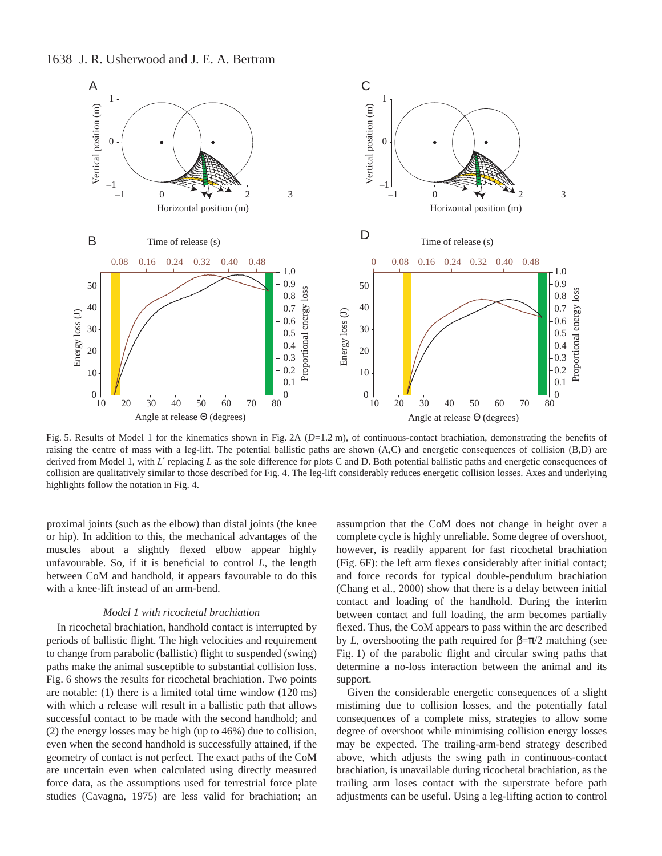

Fig. 5. Results of Model 1 for the kinematics shown in Fig. 2A (*D*=1.2 m), of continuous-contact brachiation, demonstrating the benefits of raising the centre of mass with a leg-lift. The potential ballistic paths are shown (A,C) and energetic consequences of collision (B,D) are derived from Model 1, with L' replacing L as the sole difference for plots C and D. Both potential ballistic paths and energetic consequences of collision are qualitatively similar to those described for Fig. 4. The leg-lift considerably reduces energetic collision losses. Axes and underlying highlights follow the notation in Fig. 4.

proximal joints (such as the elbow) than distal joints (the knee or hip). In addition to this, the mechanical advantages of the muscles about a slightly flexed elbow appear highly unfavourable. So, if it is beneficial to control *L*, the length between CoM and handhold, it appears favourable to do this with a knee-lift instead of an arm-bend.

### *Model 1 with ricochetal brachiation*

In ricochetal brachiation, handhold contact is interrupted by periods of ballistic flight. The high velocities and requirement to change from parabolic (ballistic) flight to suspended (swing) paths make the animal susceptible to substantial collision loss. Fig. 6 shows the results for ricochetal brachiation. Two points are notable:  $(1)$  there is a limited total time window  $(120 \text{ ms})$ with which a release will result in a ballistic path that allows successful contact to be made with the second handhold; and (2) the energy losses may be high (up to 46%) due to collision, even when the second handhold is successfully attained, if the geometry of contact is not perfect. The exact paths of the CoM are uncertain even when calculated using directly measured force data, as the assumptions used for terrestrial force plate studies (Cavagna, 1975) are less valid for brachiation; an

assumption that the CoM does not change in height over a complete cycle is highly unreliable. Some degree of overshoot, however, is readily apparent for fast ricochetal brachiation (Fig. 6F): the left arm flexes considerably after initial contact; and force records for typical double-pendulum brachiation (Chang et al., 2000) show that there is a delay between initial contact and loading of the handhold. During the interim between contact and full loading, the arm becomes partially flexed. Thus, the CoM appears to pass within the arc described by *L*, overshooting the path required for  $β = π/2$  matching (see Fig. 1) of the parabolic flight and circular swing paths that determine a no-loss interaction between the animal and its support.

Given the considerable energetic consequences of a slight mistiming due to collision losses, and the potentially fatal consequences of a complete miss, strategies to allow some degree of overshoot while minimising collision energy losses may be expected. The trailing-arm-bend strategy described above, which adjusts the swing path in continuous-contact brachiation, is unavailable during ricochetal brachiation, as the trailing arm loses contact with the superstrate before path adjustments can be useful. Using a leg-lifting action to control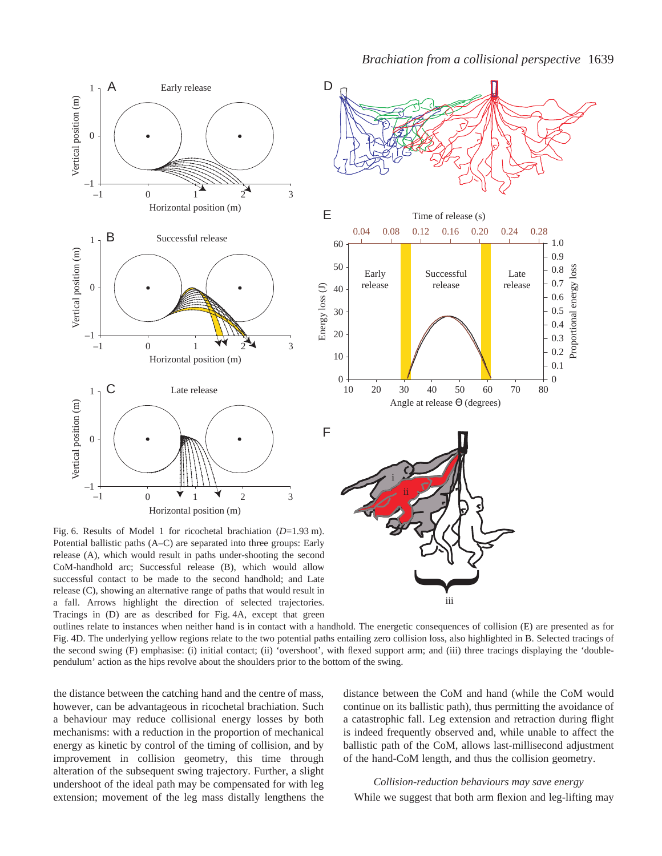





iii

Fig. 6. Results of Model 1 for ricochetal brachiation  $(D=1.93 \text{ m})$ . Potential ballistic paths (A–C) are separated into three groups: Early release (A), which would result in paths under-shooting the second CoM-handhold arc; Successful release (B), which would allow successful contact to be made to the second handhold; and Late release (C), showing an alternative range of paths that would result in a fall. Arrows highlight the direction of selected trajectories. Tracings in (D) are as described for Fig. 4A, except that green

outlines relate to instances when neither hand is in contact with a handhold. The energetic consequences of collision (E) are presented as for Fig. 4D. The underlying yellow regions relate to the two potential paths entailing zero collision loss, also highlighted in B. Selected tracings of the second swing (F) emphasise: (i) initial contact; (ii) 'overshoot', with flexed support arm; and (iii) three tracings displaying the 'doublependulum' action as the hips revolve about the shoulders prior to the bottom of the swing.

Energy loss (J)

Energy loss (J)

F

10

20

30

40

50

60

E

D

the distance between the catching hand and the centre of mass, however, can be advantageous in ricochetal brachiation. Such a behaviour may reduce collisional energy losses by both mechanisms: with a reduction in the proportion of mechanical energy as kinetic by control of the timing of collision, and by improvement in collision geometry, this time through alteration of the subsequent swing trajectory. Further, a slight undershoot of the ideal path may be compensated for with leg extension; movement of the leg mass distally lengthens the

distance between the CoM and hand (while the CoM would continue on its ballistic path), thus permitting the avoidance of a catastrophic fall. Leg extension and retraction during flight is indeed frequently observed and, while unable to affect the ballistic path of the CoM, allows last-millisecond adjustment of the hand-CoM length, and thus the collision geometry.

*Collision-reduction behaviours may save energy* While we suggest that both arm flexion and leg-lifting may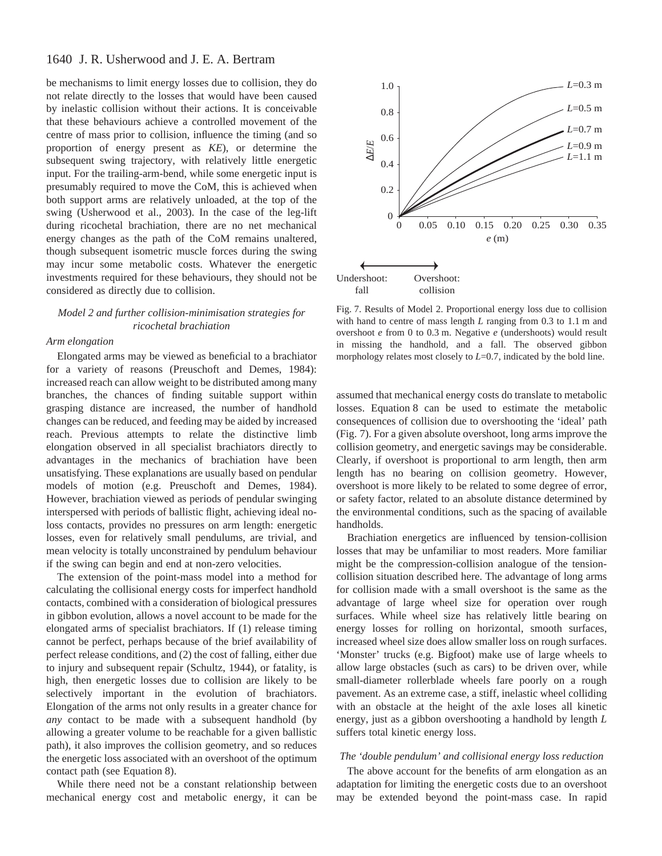be mechanisms to limit energy losses due to collision, they do not relate directly to the losses that would have been caused by inelastic collision without their actions. It is conceivable that these behaviours achieve a controlled movement of the centre of mass prior to collision, influence the timing (and so proportion of energy present as *KE*), or determine the subsequent swing trajectory, with relatively little energetic input. For the trailing-arm-bend, while some energetic input is presumably required to move the CoM, this is achieved when both support arms are relatively unloaded, at the top of the swing (Usherwood et al., 2003). In the case of the leg-lift during ricochetal brachiation, there are no net mechanical energy changes as the path of the CoM remains unaltered, though subsequent isometric muscle forces during the swing may incur some metabolic costs. Whatever the energetic investments required for these behaviours, they should not be considered as directly due to collision.

## *Model 2 and further collision-minimisation strategies for ricochetal brachiation*

#### *Arm elongation*

Elongated arms may be viewed as beneficial to a brachiator for a variety of reasons (Preuschoft and Demes, 1984): increased reach can allow weight to be distributed among many branches, the chances of finding suitable support within grasping distance are increased, the number of handhold changes can be reduced, and feeding may be aided by increased reach. Previous attempts to relate the distinctive limb elongation observed in all specialist brachiators directly to advantages in the mechanics of brachiation have been unsatisfying. These explanations are usually based on pendular models of motion (e.g. Preuschoft and Demes, 1984). However, brachiation viewed as periods of pendular swinging interspersed with periods of ballistic flight, achieving ideal noloss contacts, provides no pressures on arm length: energetic losses, even for relatively small pendulums, are trivial, and mean velocity is totally unconstrained by pendulum behaviour if the swing can begin and end at non-zero velocities.

The extension of the point-mass model into a method for calculating the collisional energy costs for imperfect handhold contacts, combined with a consideration of biological pressures in gibbon evolution, allows a novel account to be made for the elongated arms of specialist brachiators. If (1) release timing cannot be perfect, perhaps because of the brief availability of perfect release conditions, and (2) the cost of falling, either due to injury and subsequent repair (Schultz, 1944), or fatality, is high, then energetic losses due to collision are likely to be selectively important in the evolution of brachiators. Elongation of the arms not only results in a greater chance for *any* contact to be made with a subsequent handhold (by allowing a greater volume to be reachable for a given ballistic path), it also improves the collision geometry, and so reduces the energetic loss associated with an overshoot of the optimum contact path (see Equation 8).

While there need not be a constant relationship between mechanical energy cost and metabolic energy, it can be



Fig. 7. Results of Model 2. Proportional energy loss due to collision with hand to centre of mass length *L* ranging from 0.3 to 1.1 m and overshoot *e* from 0 to 0.3 m. Negative *e* (undershoots) would result in missing the handhold, and a fall. The observed gibbon morphology relates most closely to *L*=0.7, indicated by the bold line.

assumed that mechanical energy costs do translate to metabolic losses. Equation 8 can be used to estimate the metabolic consequences of collision due to overshooting the 'ideal' path (Fig. 7). For a given absolute overshoot, long arms improve the collision geometry, and energetic savings may be considerable. Clearly, if overshoot is proportional to arm length, then arm length has no bearing on collision geometry. However, overshoot is more likely to be related to some degree of error, or safety factor, related to an absolute distance determined by the environmental conditions, such as the spacing of available handholds.

Brachiation energetics are influenced by tension-collision losses that may be unfamiliar to most readers. More familiar might be the compression-collision analogue of the tensioncollision situation described here. The advantage of long arms for collision made with a small overshoot is the same as the advantage of large wheel size for operation over rough surfaces. While wheel size has relatively little bearing on energy losses for rolling on horizontal, smooth surfaces, increased wheel size does allow smaller loss on rough surfaces. 'Monster' trucks (e.g. Bigfoot) make use of large wheels to allow large obstacles (such as cars) to be driven over, while small-diameter rollerblade wheels fare poorly on a rough pavement. As an extreme case, a stiff, inelastic wheel colliding with an obstacle at the height of the axle loses all kinetic energy, just as a gibbon overshooting a handhold by length *L* suffers total kinetic energy loss.

## *The 'double pendulum' and collisional energy loss reduction*

The above account for the benefits of arm elongation as an adaptation for limiting the energetic costs due to an overshoot may be extended beyond the point-mass case. In rapid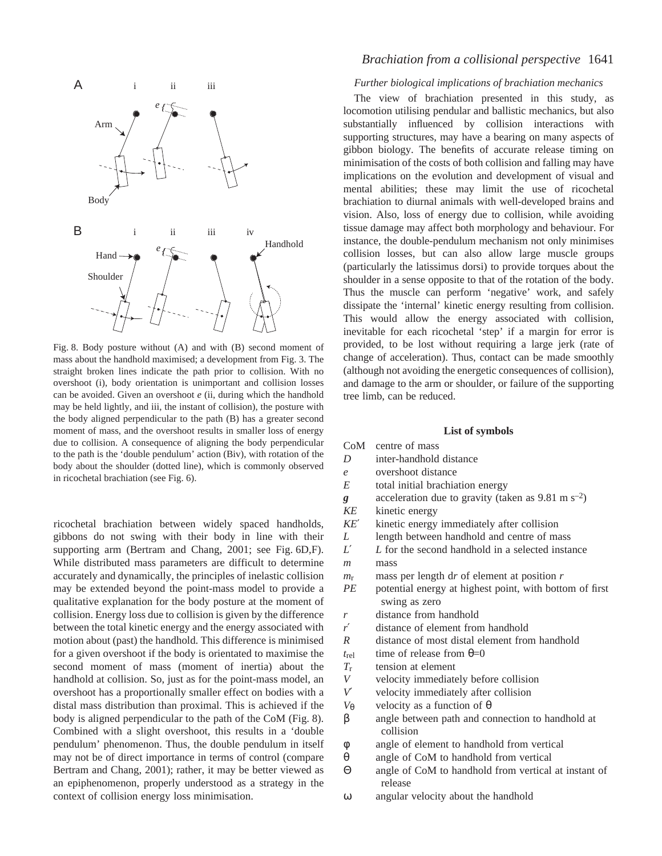

Fig. 8. Body posture without  $(A)$  and with  $(B)$  second moment of mass about the handhold maximised; a development from Fig. 3. The straight broken lines indicate the path prior to collision. With no overshoot (i), body orientation is unimportant and collision losses can be avoided. Given an overshoot *e* (ii, during which the handhold may be held lightly, and iii, the instant of collision), the posture with the body aligned perpendicular to the path (B) has a greater second moment of mass, and the overshoot results in smaller loss of energy due to collision. A consequence of aligning the body perpendicular to the path is the 'double pendulum' action (Biv), with rotation of the body about the shoulder (dotted line), which is commonly observed in ricochetal brachiation (see Fig. 6).

ricochetal brachiation between widely spaced handholds, gibbons do not swing with their body in line with their supporting arm (Bertram and Chang,  $2001$ ; see Fig.  $6D$ , F). While distributed mass parameters are difficult to determine accurately and dynamically, the principles of inelastic collision may be extended beyond the point-mass model to provide a qualitative explanation for the body posture at the moment of collision. Energy loss due to collision is given by the difference between the total kinetic energy and the energy associated with motion about (past) the handhold. This difference is minimised for a given overshoot if the body is orientated to maximise the second moment of mass (moment of inertia) about the handhold at collision. So, just as for the point-mass model, an overshoot has a proportionally smaller effect on bodies with a distal mass distribution than proximal. This is achieved if the body is aligned perpendicular to the path of the CoM (Fig. 8). Combined with a slight overshoot, this results in a 'double pendulum' phenomenon. Thus, the double pendulum in itself may not be of direct importance in terms of control (compare Bertram and Chang, 2001); rather, it may be better viewed as an epiphenomenon, properly understood as a strategy in the context of collision energy loss minimisation.

# *Brachiation from a collisional perspective* 1641

## *Further biological implications of brachiation mechanics*

The view of brachiation presented in this study, as locomotion utilising pendular and ballistic mechanics, but also substantially influenced by collision interactions with supporting structures, may have a bearing on many aspects of gibbon biology. The benefits of accurate release timing on minimisation of the costs of both collision and falling may have implications on the evolution and development of visual and mental abilities; these may limit the use of ricochetal brachiation to diurnal animals with well-developed brains and vision. Also, loss of energy due to collision, while avoiding tissue damage may affect both morphology and behaviour. For instance, the double-pendulum mechanism not only minimises collision losses, but can also allow large muscle groups (particularly the latissimus dorsi) to provide torques about the shoulder in a sense opposite to that of the rotation of the body. Thus the muscle can perform 'negative' work, and safely dissipate the 'internal' kinetic energy resulting from collision. This would allow the energy associated with collision, inevitable for each ricochetal 'step' if a margin for error is provided, to be lost without requiring a large jerk (rate of change of acceleration). Thus, contact can be made smoothly (although not avoiding the energetic consequences of collision), and damage to the arm or shoulder, or failure of the supporting tree limb, can be reduced.

#### **List of symbols**

- CoM centre of mass
- *D* inter-handhold distance
- *e* overshoot distance
- *E* total initial brachiation energy
- *g* acceleration due to gravity (taken as  $9.81 \text{ m s}^{-2}$ )
- *KE* kinetic energy
- *KE*′ kinetic energy immediately after collision
- *L* length between handhold and centre of mass
- *L*′ *L* for the second handhold in a selected instance *m* mass
- *m*r mass per length d*r* of element at position *r*
- *PE* potential energy at highest point, with bottom of first swing as zero
- *r* distance from handhold
- *r*′ distance of element from handhold
- *R* distance of most distal element from handhold
- $t_{rel}$  time of release from  $\theta = 0$
- *T*r tension at element
- *V* velocity immediately before collision
- *V*′ velocity immediately after collision
- *V* $\theta$  velocity as a function of  $\theta$
- β angle between path and connection to handhold at collision
- φ angle of element to handhold from vertical
- θ angle of CoM to handhold from vertical
- Θ angle of CoM to handhold from vertical at instant of release
- ω angular velocity about the handhold